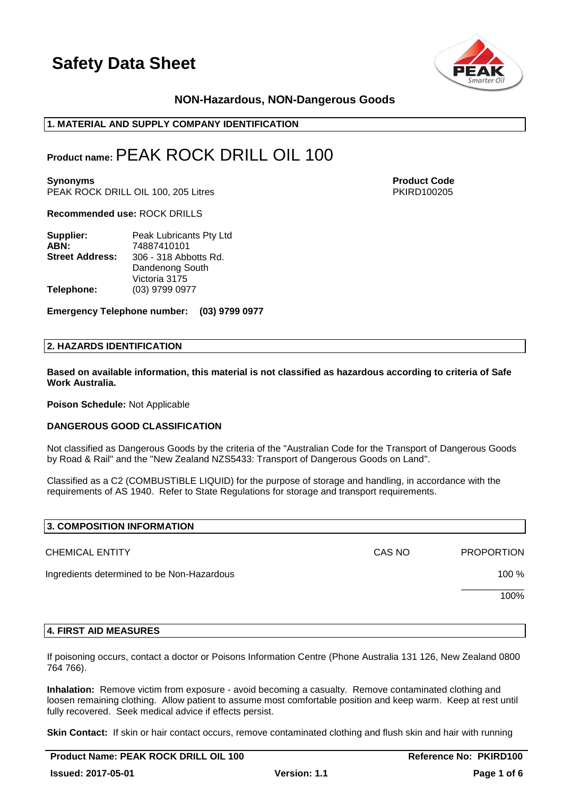

# **NON-Hazardous, NON-Dangerous Goods**

# **1. MATERIAL AND SUPPLY COMPANY IDENTIFICATION**

# **Product name:**PEAK ROCK DRILL OIL 100

**Synonyms Product Code** PEAK ROCK DRILL OIL 100, 205 Litres **PEAK ROCK DRILL OIL 100, 205 Litres** PKIRD100205

**Recommended use:** ROCK DRILLS

| Supplier:              | Peak Lubricants Pty Ltd |
|------------------------|-------------------------|
| ABN:                   | 74887410101             |
| <b>Street Address:</b> | 306 - 318 Abbotts Rd.   |
|                        | Dandenong South         |
|                        | Victoria 3175           |
| Telephone:             | (03) 9799 0977          |

**Emergency Telephone number: (03) 9799 0977**

### **2. HAZARDS IDENTIFICATION**

**Based on available information, this material is not classified as hazardous according to criteria of Safe Work Australia.**

**Poison Schedule:** Not Applicable

### **DANGEROUS GOOD CLASSIFICATION**

Not classified as Dangerous Goods by the criteria of the "Australian Code for the Transport of Dangerous Goods by Road & Rail" and the "New Zealand NZS5433: Transport of Dangerous Goods on Land".

Classified as a C2 (COMBUSTIBLE LIQUID) for the purpose of storage and handling, in accordance with the requirements of AS 1940. Refer to State Regulations for storage and transport requirements.

| 3. COMPOSITION INFORMATION                 |        |                   |
|--------------------------------------------|--------|-------------------|
| <b>CHEMICAL ENTITY</b>                     | CAS NO | <b>PROPORTION</b> |
| Ingredients determined to be Non-Hazardous |        | 100 %             |
|                                            |        | 100%              |
|                                            |        |                   |

### **4. FIRST AID MEASURES**

If poisoning occurs, contact a doctor or Poisons Information Centre (Phone Australia 131 126, New Zealand 0800 764 766).

**Inhalation:** Remove victim from exposure - avoid becoming a casualty. Remove contaminated clothing and loosen remaining clothing. Allow patient to assume most comfortable position and keep warm. Keep at rest until fully recovered. Seek medical advice if effects persist.

**Skin Contact:** If skin or hair contact occurs, remove contaminated clothing and flush skin and hair with running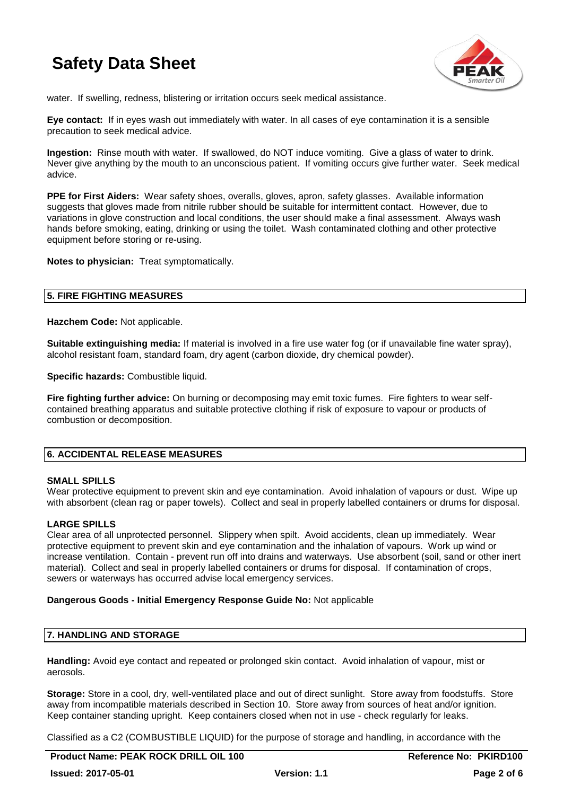

water. If swelling, redness, blistering or irritation occurs seek medical assistance.

**Eye contact:** If in eyes wash out immediately with water. In all cases of eye contamination it is a sensible precaution to seek medical advice.

**Ingestion:** Rinse mouth with water. If swallowed, do NOT induce vomiting. Give a glass of water to drink. Never give anything by the mouth to an unconscious patient. If vomiting occurs give further water. Seek medical advice.

**PPE for First Aiders:** Wear safety shoes, overalls, gloves, apron, safety glasses. Available information suggests that gloves made from nitrile rubber should be suitable for intermittent contact. However, due to variations in glove construction and local conditions, the user should make a final assessment. Always wash hands before smoking, eating, drinking or using the toilet. Wash contaminated clothing and other protective equipment before storing or re-using.

**Notes to physician:** Treat symptomatically.

# **5. FIRE FIGHTING MEASURES**

**Hazchem Code:** Not applicable.

**Suitable extinguishing media:** If material is involved in a fire use water fog (or if unavailable fine water spray), alcohol resistant foam, standard foam, dry agent (carbon dioxide, dry chemical powder).

**Specific hazards: Combustible liquid.** 

**Fire fighting further advice:** On burning or decomposing may emit toxic fumes. Fire fighters to wear selfcontained breathing apparatus and suitable protective clothing if risk of exposure to vapour or products of combustion or decomposition.

# **6. ACCIDENTAL RELEASE MEASURES**

### **SMALL SPILLS**

Wear protective equipment to prevent skin and eye contamination. Avoid inhalation of vapours or dust. Wipe up with absorbent (clean rag or paper towels). Collect and seal in properly labelled containers or drums for disposal.

# **LARGE SPILLS**

Clear area of all unprotected personnel. Slippery when spilt. Avoid accidents, clean up immediately. Wear protective equipment to prevent skin and eye contamination and the inhalation of vapours. Work up wind or increase ventilation. Contain - prevent run off into drains and waterways. Use absorbent (soil, sand or other inert material). Collect and seal in properly labelled containers or drums for disposal. If contamination of crops, sewers or waterways has occurred advise local emergency services.

### **Dangerous Goods - Initial Emergency Response Guide No:** Not applicable

# **7. HANDLING AND STORAGE**

**Handling:** Avoid eye contact and repeated or prolonged skin contact. Avoid inhalation of vapour, mist or aerosols.

**Storage:** Store in a cool, dry, well-ventilated place and out of direct sunlight. Store away from foodstuffs. Store away from incompatible materials described in Section 10. Store away from sources of heat and/or ignition. Keep container standing upright. Keep containers closed when not in use - check regularly for leaks.

Classified as a C2 (COMBUSTIBLE LIQUID) for the purpose of storage and handling, in accordance with the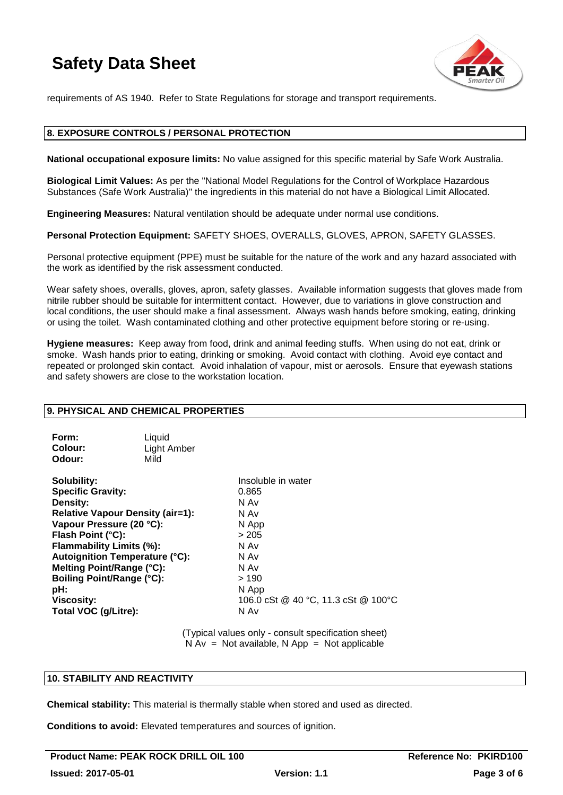

requirements of AS 1940. Refer to State Regulations for storage and transport requirements.

# **8. EXPOSURE CONTROLS / PERSONAL PROTECTION**

**National occupational exposure limits:** No value assigned for this specific material by Safe Work Australia.

**Biological Limit Values:** As per the "National Model Regulations for the Control of Workplace Hazardous Substances (Safe Work Australia)" the ingredients in this material do not have a Biological Limit Allocated.

**Engineering Measures:** Natural ventilation should be adequate under normal use conditions.

**Personal Protection Equipment:** SAFETY SHOES, OVERALLS, GLOVES, APRON, SAFETY GLASSES.

Personal protective equipment (PPE) must be suitable for the nature of the work and any hazard associated with the work as identified by the risk assessment conducted.

Wear safety shoes, overalls, gloves, apron, safety glasses. Available information suggests that gloves made from nitrile rubber should be suitable for intermittent contact. However, due to variations in glove construction and local conditions, the user should make a final assessment. Always wash hands before smoking, eating, drinking or using the toilet. Wash contaminated clothing and other protective equipment before storing or re-using.

**Hygiene measures:** Keep away from food, drink and animal feeding stuffs. When using do not eat, drink or smoke. Wash hands prior to eating, drinking or smoking. Avoid contact with clothing. Avoid eye contact and repeated or prolonged skin contact. Avoid inhalation of vapour, mist or aerosols. Ensure that eyewash stations and safety showers are close to the workstation location.

# **9. PHYSICAL AND CHEMICAL PROPERTIES**

| Form:   | Liquid      |
|---------|-------------|
| Colour: | Light Amber |
| Odour:  | Mild        |

**Solubility:** Insoluble in water **Specific Gravity:** 0.865 **Density:** N Av **Relative Vapour Density (air=1):** N Av **Vapour Pressure (20 °C):** N App **Flash Point (°C):**  $>205$ **Flammability Limits (%):** N Av **Autoignition Temperature (°C):** N Av **Melting Point/Range (°C):** N Av **Boiling Point/Range (°C):**  $> 190$ <br> **pH:** N App **Total VOC (g/Litre):** N Av

**pH:** N App **Viscosity:** 106.0 cSt @ 40 °C, 11.3 cSt @ 100 °C

> (Typical values only - consult specification sheet)  $N Av = Not available, N App = Not applicable$

# **10. STABILITY AND REACTIVITY**

**Chemical stability:** This material is thermally stable when stored and used as directed.

**Conditions to avoid:** Elevated temperatures and sources of ignition.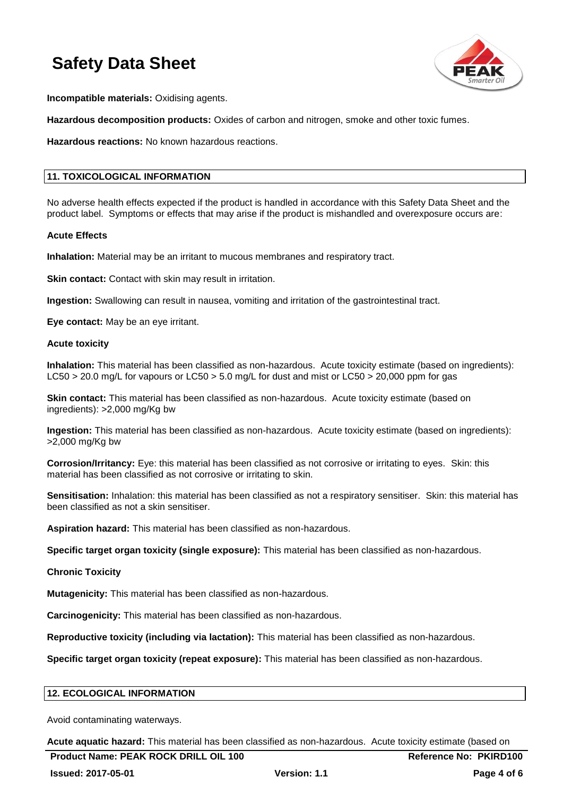

**Incompatible materials:** Oxidising agents.

**Hazardous decomposition products:** Oxides of carbon and nitrogen, smoke and other toxic fumes.

**Hazardous reactions:** No known hazardous reactions.

# **11. TOXICOLOGICAL INFORMATION**

No adverse health effects expected if the product is handled in accordance with this Safety Data Sheet and the product label. Symptoms or effects that may arise if the product is mishandled and overexposure occurs are:

### **Acute Effects**

**Inhalation:** Material may be an irritant to mucous membranes and respiratory tract.

**Skin contact:** Contact with skin may result in irritation.

**Ingestion:** Swallowing can result in nausea, vomiting and irritation of the gastrointestinal tract.

**Eye contact:** May be an eye irritant.

### **Acute toxicity**

**Inhalation:** This material has been classified as non-hazardous. Acute toxicity estimate (based on ingredients): LC50 > 20.0 mg/L for vapours or LC50 > 5.0 mg/L for dust and mist or LC50 > 20,000 ppm for gas

**Skin contact:** This material has been classified as non-hazardous. Acute toxicity estimate (based on ingredients): >2,000 mg/Kg bw

**Ingestion:** This material has been classified as non-hazardous. Acute toxicity estimate (based on ingredients): >2,000 mg/Kg bw

**Corrosion/Irritancy:** Eye: this material has been classified as not corrosive or irritating to eyes. Skin: this material has been classified as not corrosive or irritating to skin.

**Sensitisation:** Inhalation: this material has been classified as not a respiratory sensitiser. Skin: this material has been classified as not a skin sensitiser.

**Aspiration hazard:** This material has been classified as non-hazardous.

**Specific target organ toxicity (single exposure):** This material has been classified as non-hazardous.

# **Chronic Toxicity**

**Mutagenicity:** This material has been classified as non-hazardous.

**Carcinogenicity:** This material has been classified as non-hazardous.

**Reproductive toxicity (including via lactation):** This material has been classified as non-hazardous.

**Specific target organ toxicity (repeat exposure):** This material has been classified as non-hazardous.

# **12. ECOLOGICAL INFORMATION**

Avoid contaminating waterways.

**Acute aquatic hazard:** This material has been classified as non-hazardous. Acute toxicity estimate (based on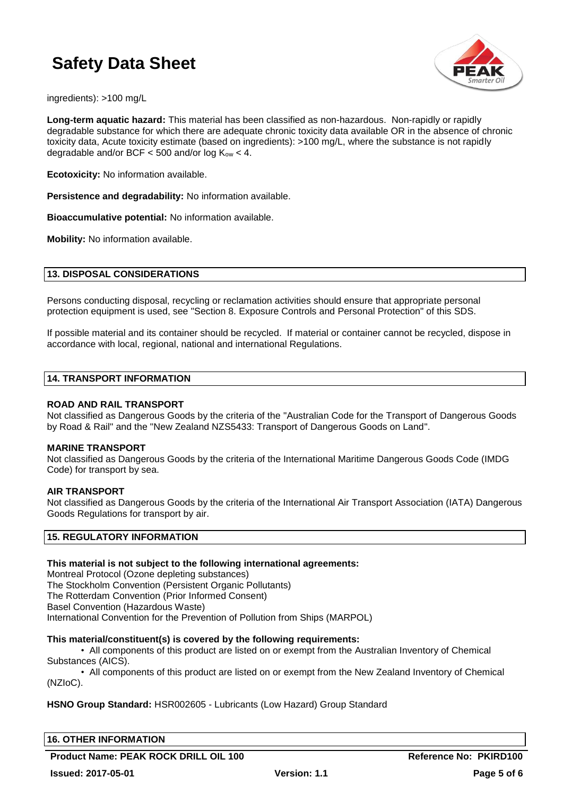

ingredients): >100 mg/L

**Long-term aquatic hazard:** This material has been classified as non-hazardous. Non-rapidly or rapidly degradable substance for which there are adequate chronic toxicity data available OR in the absence of chronic toxicity data, Acute toxicity estimate (based on ingredients): >100 mg/L, where the substance is not rapidly degradable and/or BCF  $<$  500 and/or log K<sub>ow</sub>  $<$  4.

**Ecotoxicity:** No information available.

**Persistence and degradability:** No information available.

**Bioaccumulative potential:** No information available.

**Mobility:** No information available.

# **13. DISPOSAL CONSIDERATIONS**

Persons conducting disposal, recycling or reclamation activities should ensure that appropriate personal protection equipment is used, see "Section 8. Exposure Controls and Personal Protection" of this SDS.

If possible material and its container should be recycled. If material or container cannot be recycled, dispose in accordance with local, regional, national and international Regulations.

### **14. TRANSPORT INFORMATION**

### **ROAD AND RAIL TRANSPORT**

Not classified as Dangerous Goods by the criteria of the "Australian Code for the Transport of Dangerous Goods by Road & Rail" and the "New Zealand NZS5433: Transport of Dangerous Goods on Land".

### **MARINE TRANSPORT**

Not classified as Dangerous Goods by the criteria of the International Maritime Dangerous Goods Code (IMDG Code) for transport by sea.

### **AIR TRANSPORT**

Not classified as Dangerous Goods by the criteria of the International Air Transport Association (IATA) Dangerous Goods Regulations for transport by air.

# **15. REGULATORY INFORMATION**

# **This material is not subject to the following international agreements:**

Montreal Protocol (Ozone depleting substances) The Stockholm Convention (Persistent Organic Pollutants) The Rotterdam Convention (Prior Informed Consent) Basel Convention (Hazardous Waste) International Convention for the Prevention of Pollution from Ships (MARPOL)

### **This material/constituent(s) is covered by the following requirements:**

• All components of this product are listed on or exempt from the Australian Inventory of Chemical Substances (AICS).

• All components of this product are listed on or exempt from the New Zealand Inventory of Chemical (NZIoC).

# **HSNO Group Standard:** HSR002605 - Lubricants (Low Hazard) Group Standard

**16. OTHER INFORMATION**

**Product Name: PEAK ROCK DRILL OIL 100 CONTRACT CONTRACT REference No: PKIRD100**